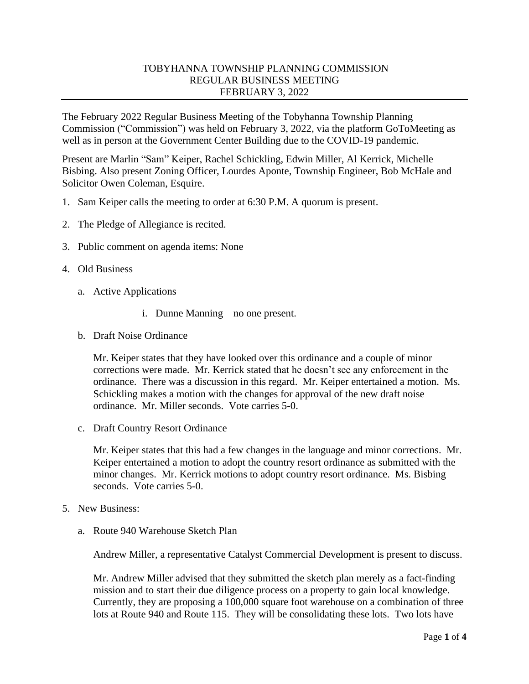## TOBYHANNA TOWNSHIP PLANNING COMMISSION REGULAR BUSINESS MEETING FEBRUARY 3, 2022

The February 2022 Regular Business Meeting of the Tobyhanna Township Planning Commission ("Commission") was held on February 3, 2022, via the platform GoToMeeting as well as in person at the Government Center Building due to the COVID-19 pandemic.

Present are Marlin "Sam" Keiper, Rachel Schickling, Edwin Miller, Al Kerrick, Michelle Bisbing. Also present Zoning Officer, Lourdes Aponte, Township Engineer, Bob McHale and Solicitor Owen Coleman, Esquire.

- 1. Sam Keiper calls the meeting to order at 6:30 P.M. A quorum is present.
- 2. The Pledge of Allegiance is recited.
- 3. Public comment on agenda items: None
- 4. Old Business
	- a. Active Applications
		- i. Dunne Manning no one present.
	- b. Draft Noise Ordinance

Mr. Keiper states that they have looked over this ordinance and a couple of minor corrections were made. Mr. Kerrick stated that he doesn't see any enforcement in the ordinance. There was a discussion in this regard. Mr. Keiper entertained a motion. Ms. Schickling makes a motion with the changes for approval of the new draft noise ordinance. Mr. Miller seconds. Vote carries 5-0.

c. Draft Country Resort Ordinance

Mr. Keiper states that this had a few changes in the language and minor corrections. Mr. Keiper entertained a motion to adopt the country resort ordinance as submitted with the minor changes. Mr. Kerrick motions to adopt country resort ordinance. Ms. Bisbing seconds. Vote carries 5-0.

- 5. New Business:
	- a. Route 940 Warehouse Sketch Plan

Andrew Miller, a representative Catalyst Commercial Development is present to discuss.

Mr. Andrew Miller advised that they submitted the sketch plan merely as a fact-finding mission and to start their due diligence process on a property to gain local knowledge. Currently, they are proposing a 100,000 square foot warehouse on a combination of three lots at Route 940 and Route 115. They will be consolidating these lots. Two lots have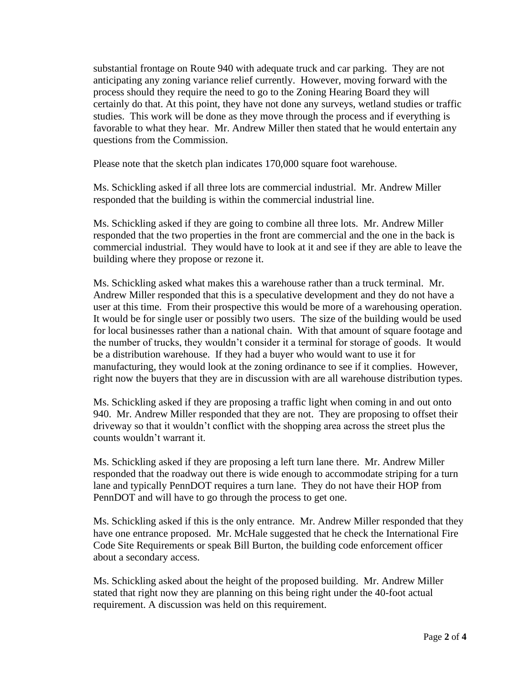substantial frontage on Route 940 with adequate truck and car parking. They are not anticipating any zoning variance relief currently. However, moving forward with the process should they require the need to go to the Zoning Hearing Board they will certainly do that. At this point, they have not done any surveys, wetland studies or traffic studies. This work will be done as they move through the process and if everything is favorable to what they hear. Mr. Andrew Miller then stated that he would entertain any questions from the Commission.

Please note that the sketch plan indicates 170,000 square foot warehouse.

Ms. Schickling asked if all three lots are commercial industrial. Mr. Andrew Miller responded that the building is within the commercial industrial line.

Ms. Schickling asked if they are going to combine all three lots. Mr. Andrew Miller responded that the two properties in the front are commercial and the one in the back is commercial industrial. They would have to look at it and see if they are able to leave the building where they propose or rezone it.

Ms. Schickling asked what makes this a warehouse rather than a truck terminal. Mr. Andrew Miller responded that this is a speculative development and they do not have a user at this time. From their prospective this would be more of a warehousing operation. It would be for single user or possibly two users. The size of the building would be used for local businesses rather than a national chain. With that amount of square footage and the number of trucks, they wouldn't consider it a terminal for storage of goods. It would be a distribution warehouse. If they had a buyer who would want to use it for manufacturing, they would look at the zoning ordinance to see if it complies. However, right now the buyers that they are in discussion with are all warehouse distribution types.

Ms. Schickling asked if they are proposing a traffic light when coming in and out onto 940. Mr. Andrew Miller responded that they are not. They are proposing to offset their driveway so that it wouldn't conflict with the shopping area across the street plus the counts wouldn't warrant it.

Ms. Schickling asked if they are proposing a left turn lane there. Mr. Andrew Miller responded that the roadway out there is wide enough to accommodate striping for a turn lane and typically PennDOT requires a turn lane. They do not have their HOP from PennDOT and will have to go through the process to get one.

Ms. Schickling asked if this is the only entrance. Mr. Andrew Miller responded that they have one entrance proposed. Mr. McHale suggested that he check the International Fire Code Site Requirements or speak Bill Burton, the building code enforcement officer about a secondary access.

Ms. Schickling asked about the height of the proposed building. Mr. Andrew Miller stated that right now they are planning on this being right under the 40-foot actual requirement. A discussion was held on this requirement.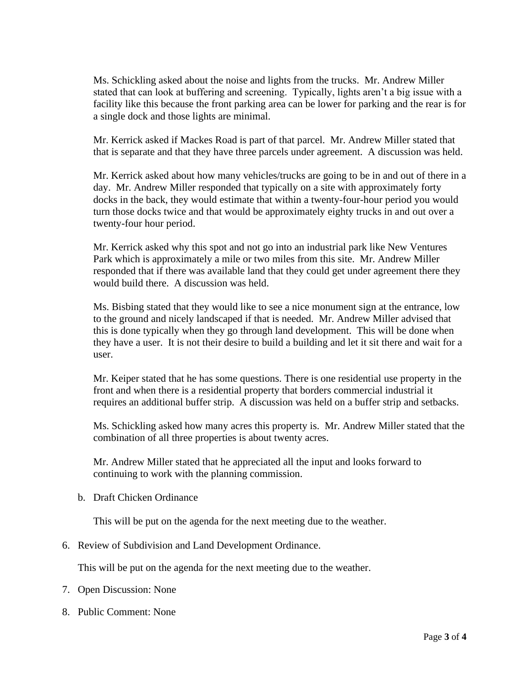Ms. Schickling asked about the noise and lights from the trucks. Mr. Andrew Miller stated that can look at buffering and screening. Typically, lights aren't a big issue with a facility like this because the front parking area can be lower for parking and the rear is for a single dock and those lights are minimal.

Mr. Kerrick asked if Mackes Road is part of that parcel. Mr. Andrew Miller stated that that is separate and that they have three parcels under agreement. A discussion was held.

Mr. Kerrick asked about how many vehicles/trucks are going to be in and out of there in a day. Mr. Andrew Miller responded that typically on a site with approximately forty docks in the back, they would estimate that within a twenty-four-hour period you would turn those docks twice and that would be approximately eighty trucks in and out over a twenty-four hour period.

Mr. Kerrick asked why this spot and not go into an industrial park like New Ventures Park which is approximately a mile or two miles from this site. Mr. Andrew Miller responded that if there was available land that they could get under agreement there they would build there. A discussion was held.

Ms. Bisbing stated that they would like to see a nice monument sign at the entrance, low to the ground and nicely landscaped if that is needed. Mr. Andrew Miller advised that this is done typically when they go through land development. This will be done when they have a user. It is not their desire to build a building and let it sit there and wait for a user.

Mr. Keiper stated that he has some questions. There is one residential use property in the front and when there is a residential property that borders commercial industrial it requires an additional buffer strip. A discussion was held on a buffer strip and setbacks.

Ms. Schickling asked how many acres this property is. Mr. Andrew Miller stated that the combination of all three properties is about twenty acres.

Mr. Andrew Miller stated that he appreciated all the input and looks forward to continuing to work with the planning commission.

b. Draft Chicken Ordinance

This will be put on the agenda for the next meeting due to the weather.

6. Review of Subdivision and Land Development Ordinance.

This will be put on the agenda for the next meeting due to the weather.

- 7. Open Discussion: None
- 8. Public Comment: None